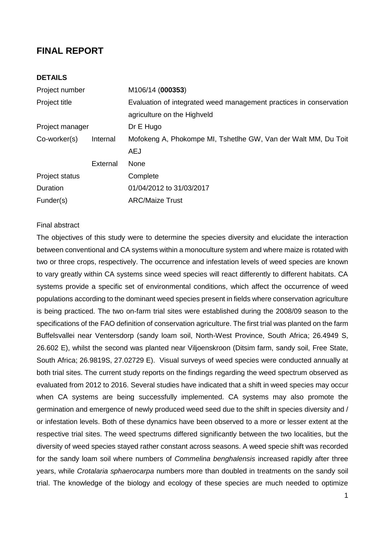## **FINAL REPORT**

## **DETAILS**

| Project number  |          | M106/14 (000353)                                                   |  |
|-----------------|----------|--------------------------------------------------------------------|--|
| Project title   |          | Evaluation of integrated weed management practices in conservation |  |
|                 |          | agriculture on the Highveld                                        |  |
| Project manager |          | Dr E Hugo                                                          |  |
| Co-worker(s)    | Internal | Mofokeng A, Phokompe MI, Tshetlhe GW, Van der Walt MM, Du Toit     |  |
|                 |          | <b>AEJ</b>                                                         |  |
|                 | External | None                                                               |  |
| Project status  |          | Complete                                                           |  |
| Duration        |          | 01/04/2012 to 31/03/2017                                           |  |
| Funder(s)       |          | <b>ARC/Maize Trust</b>                                             |  |

#### Final abstract

The objectives of this study were to determine the species diversity and elucidate the interaction between conventional and CA systems within a monoculture system and where maize is rotated with two or three crops, respectively. The occurrence and infestation levels of weed species are known to vary greatly within CA systems since weed species will react differently to different habitats. CA systems provide a specific set of environmental conditions, which affect the occurrence of weed populations according to the dominant weed species present in fields where conservation agriculture is being practiced. The two on-farm trial sites were established during the 2008/09 season to the specifications of the FAO definition of conservation agriculture. The first trial was planted on the farm Buffelsvallei near Ventersdorp (sandy loam soil, North-West Province, South Africa; 26.4949 S, 26.602 E), whilst the second was planted near Viljoenskroon (Ditsim farm, sandy soil, Free State, South Africa; 26.9819S, 27.02729 E). Visual surveys of weed species were conducted annually at both trial sites. The current study reports on the findings regarding the weed spectrum observed as evaluated from 2012 to 2016. Several studies have indicated that a shift in weed species may occur when CA systems are being successfully implemented. CA systems may also promote the germination and emergence of newly produced weed seed due to the shift in species diversity and / or infestation levels. Both of these dynamics have been observed to a more or lesser extent at the respective trial sites. The weed spectrums differed significantly between the two localities, but the diversity of weed species stayed rather constant across seasons. A weed specie shift was recorded for the sandy loam soil where numbers of *Commelina benghalensis* increased rapidly after three years, while *Crotalaria sphaerocarpa* numbers more than doubled in treatments on the sandy soil trial. The knowledge of the biology and ecology of these species are much needed to optimize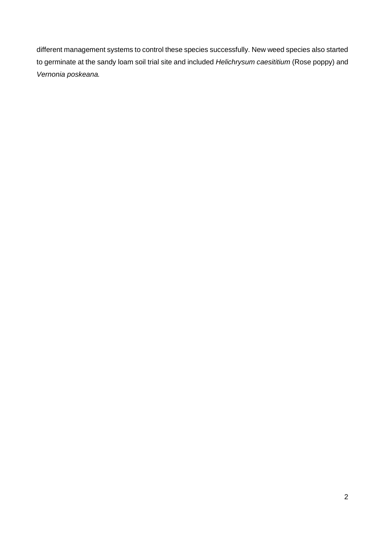different management systems to control these species successfully. New weed species also started to germinate at the sandy loam soil trial site and included *Helichrysum caesititium* (Rose poppy) and *Vernonia poskeana.*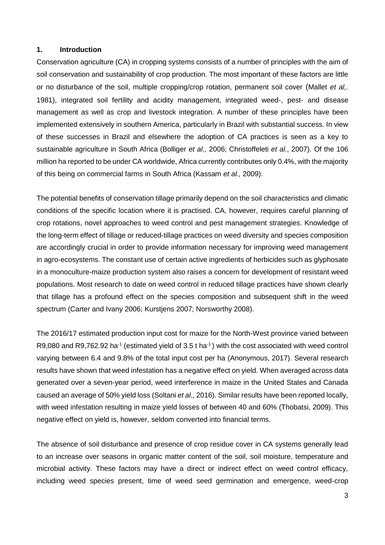#### **1. Introduction**

Conservation agriculture (CA) in cropping systems consists of a number of principles with the aim of soil conservation and sustainability of crop production. The most important of these factors are little or no disturbance of the soil, multiple cropping/crop rotation, permanent soil cover (Mallet *et al,.* 1981), integrated soil fertility and acidity management, integrated weed-, pest- and disease management as well as crop and livestock integration. A number of these principles have been implemented extensively in southern America, particularly in Brazil with substantial success. In view of these successes in Brazil and elsewhere the adoption of CA practices is seen as a key to sustainable agriculture in South Africa (Bolliger *et al.,* 2006; Christoffeleti *et al.*, 2007). Of the 106 million ha reported to be under CA worldwide, Africa currently contributes only 0.4%, with the majority of this being on commercial farms in South Africa (Kassam *et al.,* 2009).

The potential benefits of conservation tillage primarily depend on the soil characteristics and climatic conditions of the specific location where it is practised. CA, however, requires careful planning of crop rotations, novel approaches to weed control and pest management strategies. Knowledge of the long-term effect of tillage or reduced-tillage practices on weed diversity and species composition are accordingly crucial in order to provide information necessary for improving weed management in agro-ecosystems. The constant use of certain active ingredients of herbicides such as glyphosate in a monoculture-maize production system also raises a concern for development of resistant weed populations. Most research to date on weed control in reduced tillage practices have shown clearly that tillage has a profound effect on the species composition and subsequent shift in the weed spectrum (Carter and Ivany 2006; Kurstjens 2007; Norsworthy 2008).

The 2016/17 estimated production input cost for maize for the North-West province varied between R9,080 and R9,762.92 ha<sup>-1</sup> (estimated yield of 3.5 t ha<sup>-1</sup>) with the cost associated with weed control varying between 6.4 and 9.8% of the total input cost per ha (Anonymous, 2017). Several research results have shown that weed infestation has a negative effect on yield. When averaged across data generated over a seven-year period, weed interference in maize in the United States and Canada caused an average of 50% yield loss (Soltani *et al*., 2016). Similar results have been reported locally, with weed infestation resulting in maize yield losses of between 40 and 60% (Thobatsi, 2009). This negative effect on yield is, however, seldom converted into financial terms.

The absence of soil disturbance and presence of crop residue cover in CA systems generally lead to an increase over seasons in organic matter content of the soil, soil moisture, temperature and microbial activity. These factors may have a direct or indirect effect on weed control efficacy, including weed species present, time of weed seed germination and emergence, weed-crop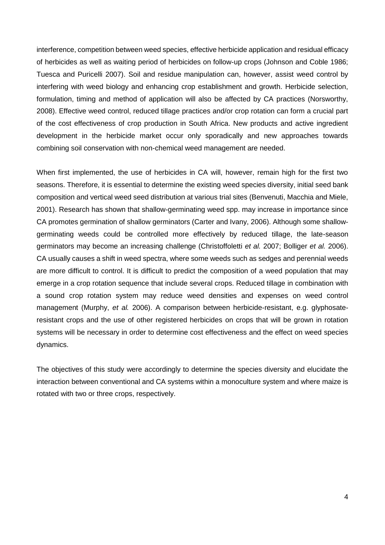interference, competition between weed species, effective herbicide application and residual efficacy of herbicides as well as waiting period of herbicides on follow-up crops (Johnson and Coble 1986; Tuesca and Puricelli 2007). Soil and residue manipulation can, however, assist weed control by interfering with weed biology and enhancing crop establishment and growth. Herbicide selection, formulation, timing and method of application will also be affected by CA practices (Norsworthy, 2008). Effective weed control, reduced tillage practices and/or crop rotation can form a crucial part of the cost effectiveness of crop production in South Africa. New products and active ingredient development in the herbicide market occur only sporadically and new approaches towards combining soil conservation with non-chemical weed management are needed.

When first implemented, the use of herbicides in CA will, however, remain high for the first two seasons. Therefore, it is essential to determine the existing weed species diversity, initial seed bank composition and vertical weed seed distribution at various trial sites (Benvenuti, Macchia and Miele, 2001). Research has shown that shallow-germinating weed spp. may increase in importance since CA promotes germination of shallow germinators (Carter and Ivany, 2006). Although some shallowgerminating weeds could be controlled more effectively by reduced tillage, the late-season germinators may become an increasing challenge (Christoffoletti *et al.* 2007; Bolliger *et al.* 2006). CA usually causes a shift in weed spectra, where some weeds such as sedges and perennial weeds are more difficult to control. It is difficult to predict the composition of a weed population that may emerge in a crop rotation sequence that include several crops. Reduced tillage in combination with a sound crop rotation system may reduce weed densities and expenses on weed control management (Murphy, *et al.* 2006). A comparison between herbicide-resistant, e.g. glyphosateresistant crops and the use of other registered herbicides on crops that will be grown in rotation systems will be necessary in order to determine cost effectiveness and the effect on weed species dynamics.

The objectives of this study were accordingly to determine the species diversity and elucidate the interaction between conventional and CA systems within a monoculture system and where maize is rotated with two or three crops, respectively.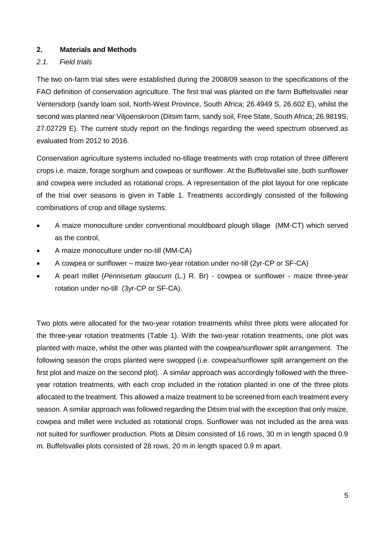### **2. Materials and Methods**

## *2.1. Field trials*

The two on-farm trial sites were established during the 2008/09 season to the specifications of the FAO definition of conservation agriculture. The first trial was planted on the farm Buffelsvallei near Ventersdorp (sandy loam soil, North-West Province, South Africa; 26.4949 S, 26.602 E), whilst the second was planted near Viljoenskroon (Ditsim farm, sandy soil, Free State, South Africa; 26.9819S, 27.02729 E). The current study report on the findings regarding the weed spectrum observed as evaluated from 2012 to 2016.

Conservation agriculture systems included no-tillage treatments with crop rotation of three different crops i.e. maize, forage sorghum and cowpeas or sunflower. At the Buffelsvallei site, both sunflower and cowpea were included as rotational crops. A representation of the plot layout for one replicate of the trial over seasons is given in Table 1. Treatments accordingly consisted of the following combinations of crop and tillage systems:

- A maize monoculture under conventional mouldboard plough tillage (MM-CT) which served as the control,
- A maize monoculture under no-till (MM-CA)
- A cowpea or sunflower maize two-year rotation under no-till (2yr-CP or SF-CA)
- A pearl millet (*Pennisetum glaucum* (L.) R. Br) cowpea or sunflower maize three-year rotation under no-till (3yr-CP or SF-CA).

Two plots were allocated for the two-year rotation treatments whilst three plots were allocated for the three-year rotation treatments (Table 1). With the two-year rotation treatments, one plot was planted with maize, whilst the other was planted with the cowpea/sunflower split arrangement. The following season the crops planted were swopped (i.e. cowpea/sunflower split arrangement on the first plot and maize on the second plot). A similar approach was accordingly followed with the threeyear rotation treatments, with each crop included in the rotation planted in one of the three plots allocated to the treatment. This allowed a maize treatment to be screened from each treatment every season. A similar approach was followed regarding the Ditsim trial with the exception that only maize, cowpea and millet were included as rotational crops. Sunflower was not included as the area was not suited for sunflower production. Plots at Ditsim consisted of 16 rows, 30 m in length spaced 0.9 m. Buffelsvallei plots consisted of 28 rows, 20 m in length spaced 0.9 m apart.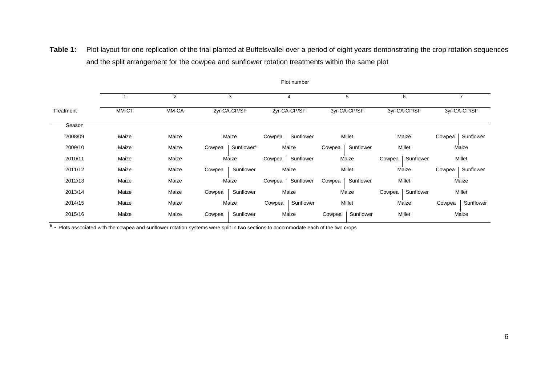|           |       |       |        |                        |        | Plot number  |        |              |        |                  |        |              |
|-----------|-------|-------|--------|------------------------|--------|--------------|--------|--------------|--------|------------------|--------|--------------|
|           |       | 2     |        | 3                      |        | 4            |        | 5            |        | 6                |        |              |
| Treatment | MM-CT | MM-CA |        | 2yr-CA-CP/SF           |        | 2yr-CA-CP/SF |        | 3yr-CA-CP/SF |        | 3yr-CA-CP/SF     |        | 3yr-CA-CP/SF |
| Season    |       |       |        |                        |        |              |        |              |        |                  |        |              |
| 2008/09   | Maize | Maize |        | Maize                  | Cowpea | Sunflower    |        | Millet       |        | Maize            | Cowpea | Sunflower    |
| 2009/10   | Maize | Maize | Cowpea | Sunflower <sup>a</sup> |        | Maize        | Cowpea | Sunflower    |        | Millet           |        | Maize        |
| 2010/11   | Maize | Maize |        | Maize                  | Cowpea | Sunflower    |        | Maize        | Cowpea | Sunflower        |        | Millet       |
| 2011/12   | Maize | Maize | Cowpea | Sunflower              |        | Maize        |        | Millet       |        | Maize            | Cowpea | Sunflower    |
| 2012/13   | Maize | Maize |        | Maize                  | Cowpea | Sunflower    | Cowpea | Sunflower    |        | Millet           |        | Maize        |
| 2013/14   | Maize | Maize | Cowpea | Sunflower              |        | Maize        |        | Maize        |        | Cowpea Sunflower |        | Millet       |
| 2014/15   | Maize | Maize |        | Maize                  | Cowpea | Sunflower    |        | Millet       |        | Maize            | Cowpea | Sunflower    |
| 2015/16   | Maize | Maize | Cowpea | Sunflower              |        | Maize        | Cowpea | Sunflower    |        | Millet           |        | Maize        |

Table 1: Plot layout for one replication of the trial planted at Buffelsvallei over a period of eight years demonstrating the crop rotation sequences and the split arrangement for the cowpea and sunflower rotation treatments within the same plot

a - Plots associated with the cowpea and sunflower rotation systems were split in two sections to accommodate each of the two crops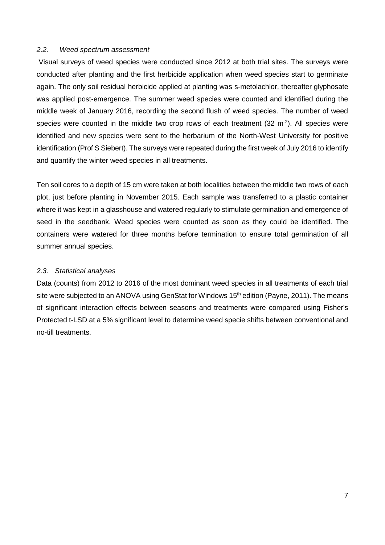#### *2.2. Weed spectrum assessment*

Visual surveys of weed species were conducted since 2012 at both trial sites. The surveys were conducted after planting and the first herbicide application when weed species start to germinate again. The only soil residual herbicide applied at planting was s-metolachlor, thereafter glyphosate was applied post-emergence. The summer weed species were counted and identified during the middle week of January 2016, recording the second flush of weed species. The number of weed species were counted in the middle two crop rows of each treatment (32 m<sup>-2</sup>). All species were identified and new species were sent to the herbarium of the North-West University for positive identification (Prof S Siebert). The surveys were repeated during the first week of July 2016 to identify and quantify the winter weed species in all treatments.

Ten soil cores to a depth of 15 cm were taken at both localities between the middle two rows of each plot, just before planting in November 2015. Each sample was transferred to a plastic container where it was kept in a glasshouse and watered regularly to stimulate germination and emergence of seed in the seedbank. Weed species were counted as soon as they could be identified. The containers were watered for three months before termination to ensure total germination of all summer annual species.

#### *2.3. Statistical analyses*

Data (counts) from 2012 to 2016 of the most dominant weed species in all treatments of each trial site were subjected to an ANOVA using GenStat for Windows 15<sup>th</sup> edition (Payne, 2011). The means of significant interaction effects between seasons and treatments were compared using Fisher's Protected t-LSD at a 5% significant level to determine weed specie shifts between conventional and no-till treatments.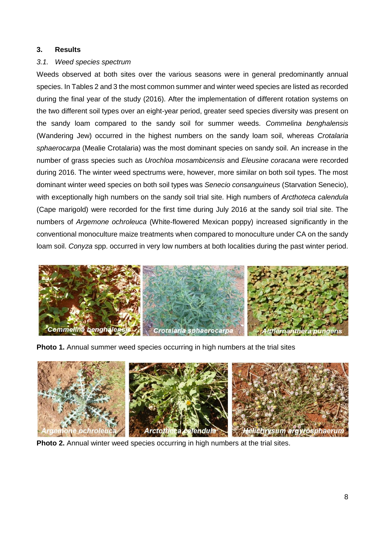#### **3. Results**

## *3.1. Weed species spectrum*

Weeds observed at both sites over the various seasons were in general predominantly annual species. In Tables 2 and 3 the most common summer and winter weed species are listed as recorded during the final year of the study (2016). After the implementation of different rotation systems on the two different soil types over an eight-year period, greater seed species diversity was present on the sandy loam compared to the sandy soil for summer weeds. *Commelina benghalensis* (Wandering Jew) occurred in the highest numbers on the sandy loam soil, whereas *Crotalaria sphaerocarpa* (Mealie Crotalaria) was the most dominant species on sandy soil. An increase in the number of grass species such as *Urochloa mosambicensis* and *Eleusine coracana* were recorded during 2016. The winter weed spectrums were, however, more similar on both soil types. The most dominant winter weed species on both soil types was *Senecio consanguineus* (Starvation Senecio), with exceptionally high numbers on the sandy soil trial site. High numbers of *Arcthoteca calendula* (Cape marigold) were recorded for the first time during July 2016 at the sandy soil trial site. The numbers of *Argemone ochroleuca* (White-flowered Mexican poppy) increased significantly in the conventional monoculture maize treatments when compared to monoculture under CA on the sandy loam soil. *Conyza* spp. occurred in very low numbers at both localities during the past winter period.



**Photo 1.** Annual summer weed species occurring in high numbers at the trial sites



**Photo 2.** Annual winter weed species occurring in high numbers at the trial sites.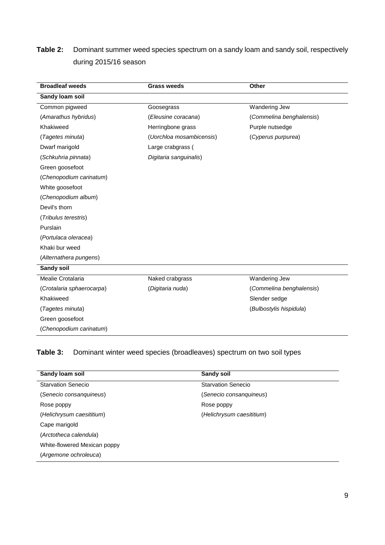# **Table 2:** Dominant summer weed species spectrum on a sandy loam and sandy soil, respectively during 2015/16 season

| <b>Broadleaf weeds</b>    | <b>Grass weeds</b>       | Other                    |
|---------------------------|--------------------------|--------------------------|
| Sandy loam soil           |                          |                          |
| Common pigweed            | Goosegrass               | Wandering Jew            |
| (Amarathus hybridus)      | (Eleusine coracana)      | (Commelina benghalensis) |
| Khakiweed                 | Herringbone grass        | Purple nutsedge          |
| (Tagetes minuta)          | (Uorchloa mosambicensis) | (Cyperus purpurea)       |
| Dwarf marigold            | Large crabgrass (        |                          |
| (Schkuhria pinnata)       | Digitaria sanguinalis)   |                          |
| Green goosefoot           |                          |                          |
| (Chenopodium carinatum)   |                          |                          |
| White goosefoot           |                          |                          |
| (Chenopodium album)       |                          |                          |
| Devil's thorn             |                          |                          |
| (Tribulus terestris)      |                          |                          |
| Purslain                  |                          |                          |
| (Portulaca oleracea)      |                          |                          |
| Khaki bur weed            |                          |                          |
| (Alternathera pungens)    |                          |                          |
| <b>Sandy soil</b>         |                          |                          |
| Mealie Crotalaria         | Naked crabgrass          | Wandering Jew            |
| (Crotalaria sphaerocarpa) | (Digitaria nuda)         | (Commelina benghalensis) |
| Khakiweed                 |                          | Slender sedge            |
| (Tagetes minuta)          |                          | (Bulbostylis hispidula)  |
| Green goosefoot           |                          |                          |
| (Chenopodium carinatum)   |                          |                          |

# **Table 3:** Dominant winter weed species (broadleaves) spectrum on two soil types

| Sandy loam soil              | <b>Sandy soil</b>         |
|------------------------------|---------------------------|
| <b>Starvation Senecio</b>    | <b>Starvation Senecio</b> |
| (Senecio consanquineus)      | (Senecio consanquineus)   |
| Rose poppy                   | Rose poppy                |
| (Helichrysum caesititium)    | (Helichrysum caesititium) |
| Cape marigold                |                           |
| (Arctotheca calendula)       |                           |
| White-flowered Mexican poppy |                           |
| (Argemone ochroleuca)        |                           |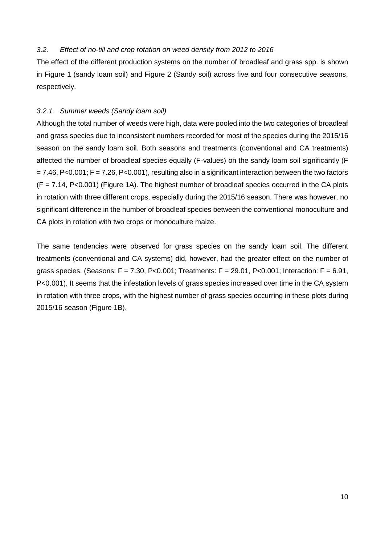### *3.2. Effect of no-till and crop rotation on weed density from 2012 to 2016*

The effect of the different production systems on the number of broadleaf and grass spp. is shown in Figure 1 (sandy loam soil) and Figure 2 (Sandy soil) across five and four consecutive seasons, respectively.

## *3.2.1. Summer weeds (Sandy loam soil)*

Although the total number of weeds were high, data were pooled into the two categories of broadleaf and grass species due to inconsistent numbers recorded for most of the species during the 2015/16 season on the sandy loam soil. Both seasons and treatments (conventional and CA treatments) affected the number of broadleaf species equally (F-values) on the sandy loam soil significantly (F  $= 7.46$ , P<0.001; F = 7.26, P<0.001), resulting also in a significant interaction between the two factors  $(F = 7.14, P < 0.001)$  (Figure 1A). The highest number of broadleaf species occurred in the CA plots in rotation with three different crops, especially during the 2015/16 season. There was however, no significant difference in the number of broadleaf species between the conventional monoculture and CA plots in rotation with two crops or monoculture maize.

The same tendencies were observed for grass species on the sandy loam soil. The different treatments (conventional and CA systems) did, however, had the greater effect on the number of grass species. (Seasons:  $F = 7.30$ , P<0.001; Treatments:  $F = 29.01$ , P<0.001; Interaction:  $F = 6.91$ , P<0.001). It seems that the infestation levels of grass species increased over time in the CA system in rotation with three crops, with the highest number of grass species occurring in these plots during 2015/16 season (Figure 1B).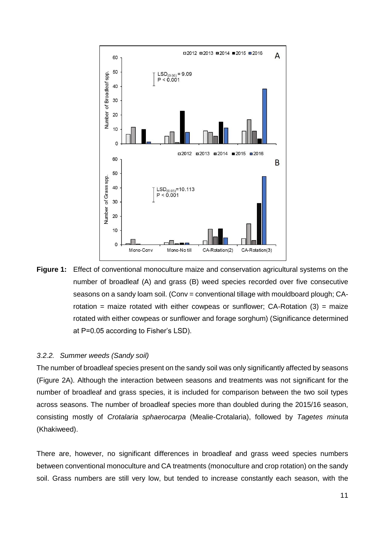

**Figure 1:** Effect of conventional monoculture maize and conservation agricultural systems on the number of broadleaf (A) and grass (B) weed species recorded over five consecutive seasons on a sandy loam soil. (Conv = conventional tillage with mouldboard plough; CArotation = maize rotated with either cowpeas or sunflower;  $CA-Rotation (3)$  = maize rotated with either cowpeas or sunflower and forage sorghum) (Significance determined at P=0.05 according to Fisher's LSD).

#### *3.2.2. Summer weeds (Sandy soil)*

The number of broadleaf species present on the sandy soil was only significantly affected by seasons (Figure 2A). Although the interaction between seasons and treatments was not significant for the number of broadleaf and grass species, it is included for comparison between the two soil types across seasons. The number of broadleaf species more than doubled during the 2015/16 season, consisting mostly of *Crotalaria sphaerocarpa* (Mealie-Crotalaria), followed by *Tagetes minuta* (Khakiweed).

There are, however, no significant differences in broadleaf and grass weed species numbers between conventional monoculture and CA treatments (monoculture and crop rotation) on the sandy soil. Grass numbers are still very low, but tended to increase constantly each season, with the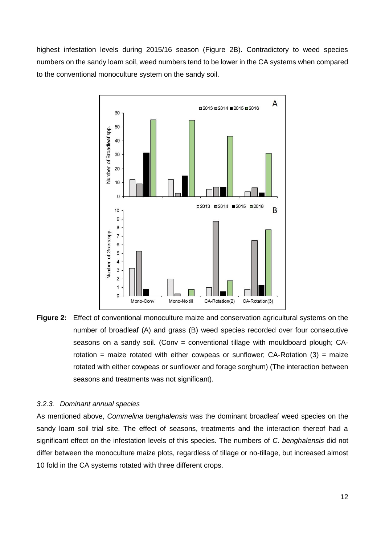highest infestation levels during 2015/16 season (Figure 2B). Contradictory to weed species numbers on the sandy loam soil, weed numbers tend to be lower in the CA systems when compared to the conventional monoculture system on the sandy soil.



**Figure 2:** Effect of conventional monoculture maize and conservation agricultural systems on the number of broadleaf (A) and grass (B) weed species recorded over four consecutive seasons on a sandy soil. (Conv = conventional tillage with mouldboard plough; CArotation = maize rotated with either cowpeas or sunflower;  $CA-Rotation (3)$  = maize rotated with either cowpeas or sunflower and forage sorghum) (The interaction between seasons and treatments was not significant).

#### *3.2.3. Dominant annual species*

As mentioned above, *Commelina benghalensis* was the dominant broadleaf weed species on the sandy loam soil trial site. The effect of seasons, treatments and the interaction thereof had a significant effect on the infestation levels of this species. The numbers of *C. benghalensis* did not differ between the monoculture maize plots, regardless of tillage or no-tillage, but increased almost 10 fold in the CA systems rotated with three different crops.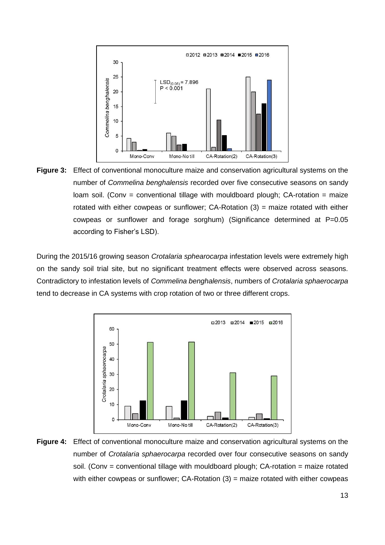

**Figure 3:** Effect of conventional monoculture maize and conservation agricultural systems on the number of *Commelina benghalensis* recorded over five consecutive seasons on sandy  $\alpha$  loam soil. (Conv = conventional tillage with mouldboard plough; CA-rotation = maize rotated with either cowpeas or sunflower;  $CA-Rotation (3) = maize rotated with either$ cowpeas or sunflower and forage sorghum) (Significance determined at P=0.05 according to Fisher's LSD).

During the 2015/16 growing season *Crotalaria sphearocarpa* infestation levels were extremely high on the sandy soil trial site, but no significant treatment effects were observed across seasons. Contradictory to infestation levels of *Commelina benghalensis*, numbers of *Crotalaria sphaerocarpa* tend to decrease in CA systems with crop rotation of two or three different crops.



**Figure 4:** Effect of conventional monoculture maize and conservation agricultural systems on the number of *Crotalaria sphaerocarpa* recorded over four consecutive seasons on sandy soil. (Conv = conventional tillage with mouldboard plough; CA-rotation = maize rotated with either cowpeas or sunflower;  $CA-Rotation (3)$  = maize rotated with either cowpeas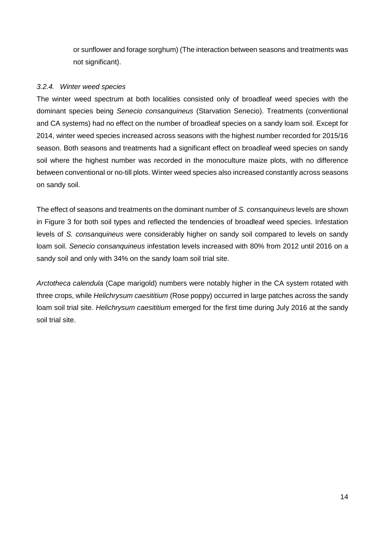or sunflower and forage sorghum) (The interaction between seasons and treatments was not significant).

## *3.2.4. Winter weed species*

The winter weed spectrum at both localities consisted only of broadleaf weed species with the dominant species being *Senecio consanquineus* (Starvation Senecio). Treatments (conventional and CA systems) had no effect on the number of broadleaf species on a sandy loam soil. Except for 2014, winter weed species increased across seasons with the highest number recorded for 2015/16 season. Both seasons and treatments had a significant effect on broadleaf weed species on sandy soil where the highest number was recorded in the monoculture maize plots, with no difference between conventional or no-till plots. Winter weed species also increased constantly across seasons on sandy soil.

The effect of seasons and treatments on the dominant number of *S. consanquineus* levels are shown in Figure 3 for both soil types and reflected the tendencies of broadleaf weed species. Infestation levels of *S. consanquineus* were considerably higher on sandy soil compared to levels on sandy loam soil. *Senecio consanquineus* infestation levels increased with 80% from 2012 until 2016 on a sandy soil and only with 34% on the sandy loam soil trial site.

*Arctotheca calendula* (Cape marigold) numbers were notably higher in the CA system rotated with three crops, while *Helichrysum caesititium* (Rose poppy) occurred in large patches across the sandy loam soil trial site. *Helichrysum caesititium* emerged for the first time during July 2016 at the sandy soil trial site.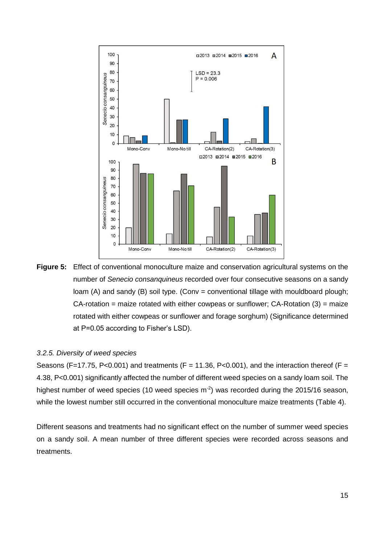

**Figure 5:** Effect of conventional monoculture maize and conservation agricultural systems on the number of *Senecio consanquineus* recorded over four consecutive seasons on a sandy loam (A) and sandy (B) soil type. (Conv = conventional tillage with mouldboard plough;  $CA$ -rotation = maize rotated with either cowpeas or sunflower;  $CA$ -Rotation  $(3)$  = maize rotated with either cowpeas or sunflower and forage sorghum) (Significance determined at P=0.05 according to Fisher's LSD).

#### *3.2.5. Diversity of weed species*

Seasons (F=17.75, P<0.001) and treatments (F = 11.36, P<0.001), and the interaction thereof (F = 4.38, P<0.001) significantly affected the number of different weed species on a sandy loam soil. The highest number of weed species (10 weed species  $m<sup>2</sup>$ ) was recorded during the 2015/16 season, while the lowest number still occurred in the conventional monoculture maize treatments (Table 4).

Different seasons and treatments had no significant effect on the number of summer weed species on a sandy soil. A mean number of three different species were recorded across seasons and treatments.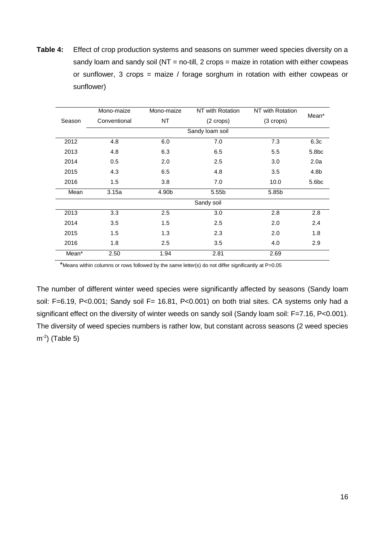**Table 4:** Effect of crop production systems and seasons on summer weed species diversity on a sandy loam and sandy soil ( $NT = no$ -till, 2 crops = maize in rotation with either cowpeas or sunflower, 3 crops = maize / forage sorghum in rotation with either cowpeas or sunflower)

|        | Mono-maize   | Mono-maize | NT with Rotation    | NT with Rotation    | Mean*             |
|--------|--------------|------------|---------------------|---------------------|-------------------|
| Season | Conventional | NT         | $(2 \text{ crops})$ | $(3 \text{ crops})$ |                   |
|        |              |            | Sandy loam soil     |                     |                   |
| 2012   | 4.8          | 6.0        | 7.0                 | 7.3                 | 6.3c              |
| 2013   | 4.8          | 6.3        | 6.5                 | 5.5                 | 5.8 <sub>bc</sub> |
| 2014   | 0.5          | 2.0        | 2.5                 | 3.0                 | 2.0a              |
| 2015   | 4.3          | 6.5        | 4.8                 | 3.5                 | 4.8b              |
| 2016   | 1.5          | 3.8        | 7.0                 | 10.0                | 5.6 <sub>bc</sub> |
| Mean   | 3.15a        | 4.90b      | 5.55b               | 5.85b               |                   |
|        |              |            | Sandy soil          |                     |                   |
| 2013   | 3.3          | 2.5        | 3.0                 | 2.8                 | 2.8               |
| 2014   | 3.5          | 1.5        | 2.5                 | 2.0                 | 2.4               |
| 2015   | 1.5          | 1.3        | 2.3                 | 2.0                 | 1.8               |
| 2016   | 1.8          | 2.5        | 3.5                 | 4.0                 | 2.9               |
| Mean*  | 2.50         | 1.94       | 2.81                | 2.69                |                   |

\*Means within columns or rows followed by the same letter(s) do not differ significantly at P=0.05

The number of different winter weed species were significantly affected by seasons (Sandy loam soil: F=6.19, P<0.001; Sandy soil F= 16.81, P<0.001) on both trial sites. CA systems only had a significant effect on the diversity of winter weeds on sandy soil (Sandy loam soil: F=7.16, P<0.001). The diversity of weed species numbers is rather low, but constant across seasons (2 weed species m-2 ) (Table 5)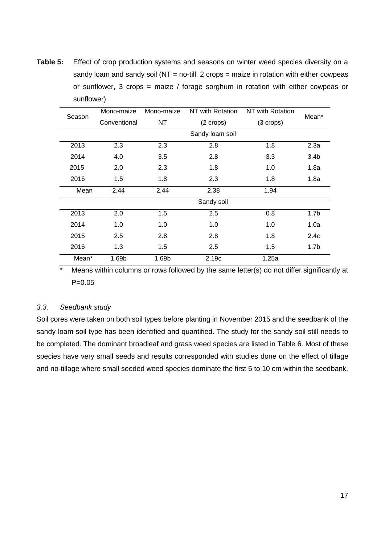**Table 5:** Effect of crop production systems and seasons on winter weed species diversity on a sandy loam and sandy soil ( $NT = no$ -till, 2 crops = maize in rotation with either cowpeas or sunflower, 3 crops = maize / forage sorghum in rotation with either cowpeas or sunflower)

| Season | Mono-maize   | Mono-maize | NT with Rotation    | NT with Rotation    | Mean*            |
|--------|--------------|------------|---------------------|---------------------|------------------|
|        | Conventional | NT         | $(2 \text{ crops})$ | $(3 \text{ crops})$ |                  |
|        |              |            | Sandy loam soil     |                     |                  |
| 2013   | 2.3          | 2.3        | 2.8                 | 1.8                 | 2.3a             |
| 2014   | 4.0          | 3.5        | 2.8                 | 3.3                 | 3.4 <sub>b</sub> |
| 2015   | 2.0          | 2.3        | 1.8                 | 1.0                 | 1.8a             |
| 2016   | 1.5          | 1.8        | 2.3                 | 1.8                 | 1.8a             |
| Mean   | 2.44         | 2.44       | 2.38                | 1.94                |                  |
|        |              |            | Sandy soil          |                     |                  |
| 2013   | 2.0          | 1.5        | 2.5                 | 0.8                 | 1.7 <sub>b</sub> |
| 2014   | 1.0          | 1.0        | 1.0                 | 1.0                 | 1.0a             |
| 2015   | 2.5          | 2.8        | 2.8                 | 1.8                 | 2.4c             |
| 2016   | 1.3          | 1.5        | 2.5                 | 1.5                 | 1.7 <sub>b</sub> |
| Mean*  | 1.69b        | 1.69b      | 2.19c               | 1.25a               |                  |

\* Means within columns or rows followed by the same letter(s) do not differ significantly at P=0.05

#### *3.3. Seedbank study*

Soil cores were taken on both soil types before planting in November 2015 and the seedbank of the sandy loam soil type has been identified and quantified. The study for the sandy soil still needs to be completed. The dominant broadleaf and grass weed species are listed in Table 6. Most of these species have very small seeds and results corresponded with studies done on the effect of tillage and no-tillage where small seeded weed species dominate the first 5 to 10 cm within the seedbank.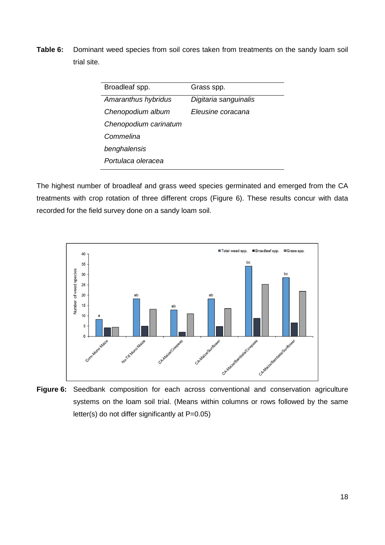**Table 6:** Dominant weed species from soil cores taken from treatments on the sandy loam soil trial site.

| Broadleaf spp.        | Grass spp.            |
|-----------------------|-----------------------|
| Amaranthus hybridus   | Digitaria sanguinalis |
| Chenopodium album     | Eleusine coracana     |
| Chenopodium carinatum |                       |
| Commelina             |                       |
| benghalensis          |                       |
| Portulaca oleracea    |                       |
|                       |                       |

The highest number of broadleaf and grass weed species germinated and emerged from the CA treatments with crop rotation of three different crops (Figure 6). These results concur with data recorded for the field survey done on a sandy loam soil.



**Figure 6:** Seedbank composition for each across conventional and conservation agriculture systems on the loam soil trial. (Means within columns or rows followed by the same letter(s) do not differ significantly at P=0.05)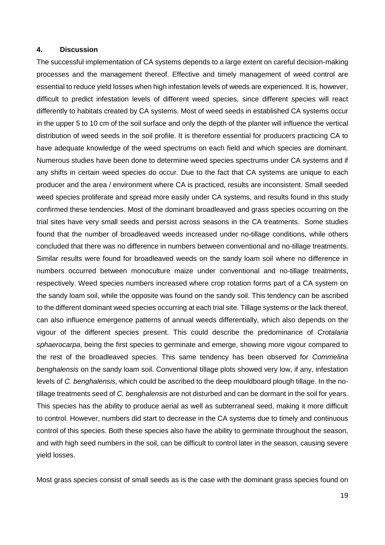#### **4. Discussion**

The successful implementation of CA systems depends to a large extent on careful decision-making processes and the management thereof. Effective and timely management of weed control are essential to reduce yield losses when high infestation levels of weeds are experienced. It is, however, difficult to predict infestation levels of different weed species, since different species will react differently to habitats created by CA systems. Most of weed seeds in established CA systems occur in the upper 5 to 10 cm of the soil surface and only the depth of the planter will influence the vertical distribution of weed seeds in the soil profile. It is therefore essential for producers practicing CA to have adequate knowledge of the weed spectrums on each field and which species are dominant. Numerous studies have been done to determine weed species spectrums under CA systems and if any shifts in certain weed species do occur. Due to the fact that CA systems are unique to each producer and the area / environment where CA is practiced, results are inconsistent. Small seeded weed species proliferate and spread more easily under CA systems, and results found in this study confirmed these tendencies. Most of the dominant broadleaved and grass species occurring on the trial sites have very small seeds and persist across seasons in the CA treatments. Some studies found that the number of broadleaved weeds increased under no-tillage conditions, while others concluded that there was no difference in numbers between conventional and no-tillage treatments. Similar results were found for broadleaved weeds on the sandy loam soil where no difference in numbers occurred between monoculture maize under conventional and no-tillage treatments, respectively. Weed species numbers increased where crop rotation forms part of a CA system on the sandy loam soil, while the opposite was found on the sandy soil. This tendency can be ascribed to the different dominant weed species occurring at each trial site. Tillage systems or the lack thereof, can also influence emergence patterns of annual weeds differentially, which also depends on the vigour of the different species present. This could describe the predominance of *Crotalaria sphaerocarpa*, being the first species to germinate and emerge, showing more vigour compared to the rest of the broadleaved species. This same tendency has been observed for *Commelina benghalensis* on the sandy loam soil. Conventional tillage plots showed very low, if any, infestation levels of *C. benghalensis*, which could be ascribed to the deep mouldboard plough tillage. In the notillage treatments seed of *C. benghalensis* are not disturbed and can be dormant in the soil for years. This species has the ability to produce aerial as well as subterraneal seed, making it more difficult to control. However, numbers did start to decrease in the CA systems due to timely and continuous control of this species. Both these species also have the ability to germinate throughout the season, and with high seed numbers in the soil, can be difficult to control later in the season, causing severe yield losses.

Most grass species consist of small seeds as is the case with the dominant grass species found on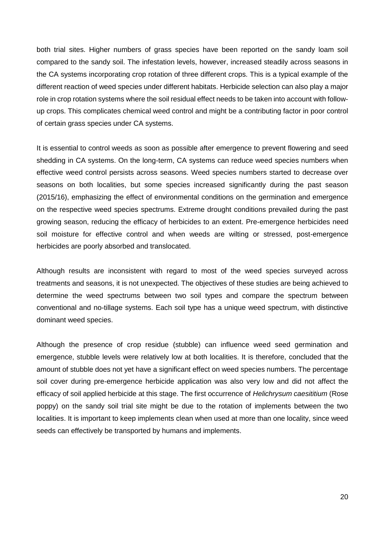both trial sites. Higher numbers of grass species have been reported on the sandy loam soil compared to the sandy soil. The infestation levels, however, increased steadily across seasons in the CA systems incorporating crop rotation of three different crops. This is a typical example of the different reaction of weed species under different habitats. Herbicide selection can also play a major role in crop rotation systems where the soil residual effect needs to be taken into account with followup crops. This complicates chemical weed control and might be a contributing factor in poor control of certain grass species under CA systems.

It is essential to control weeds as soon as possible after emergence to prevent flowering and seed shedding in CA systems. On the long-term, CA systems can reduce weed species numbers when effective weed control persists across seasons. Weed species numbers started to decrease over seasons on both localities, but some species increased significantly during the past season (2015/16), emphasizing the effect of environmental conditions on the germination and emergence on the respective weed species spectrums. Extreme drought conditions prevailed during the past growing season, reducing the efficacy of herbicides to an extent. Pre-emergence herbicides need soil moisture for effective control and when weeds are wilting or stressed, post-emergence herbicides are poorly absorbed and translocated.

Although results are inconsistent with regard to most of the weed species surveyed across treatments and seasons, it is not unexpected. The objectives of these studies are being achieved to determine the weed spectrums between two soil types and compare the spectrum between conventional and no-tillage systems. Each soil type has a unique weed spectrum, with distinctive dominant weed species.

Although the presence of crop residue (stubble) can influence weed seed germination and emergence, stubble levels were relatively low at both localities. It is therefore, concluded that the amount of stubble does not yet have a significant effect on weed species numbers. The percentage soil cover during pre-emergence herbicide application was also very low and did not affect the efficacy of soil applied herbicide at this stage. The first occurrence of *Helichrysum caesititium* (Rose poppy) on the sandy soil trial site might be due to the rotation of implements between the two localities. It is important to keep implements clean when used at more than one locality, since weed seeds can effectively be transported by humans and implements.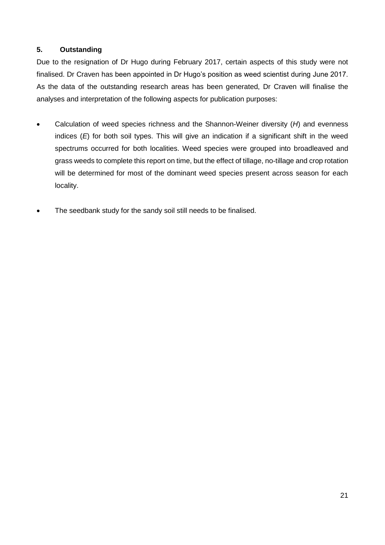## **5. Outstanding**

Due to the resignation of Dr Hugo during February 2017, certain aspects of this study were not finalised. Dr Craven has been appointed in Dr Hugo's position as weed scientist during June 2017. As the data of the outstanding research areas has been generated, Dr Craven will finalise the analyses and interpretation of the following aspects for publication purposes:

- Calculation of weed species richness and the Shannon-Weiner diversity (*H*) and evenness indices (*E*) for both soil types. This will give an indication if a significant shift in the weed spectrums occurred for both localities. Weed species were grouped into broadleaved and grass weeds to complete this report on time, but the effect of tillage, no-tillage and crop rotation will be determined for most of the dominant weed species present across season for each locality.
- The seedbank study for the sandy soil still needs to be finalised.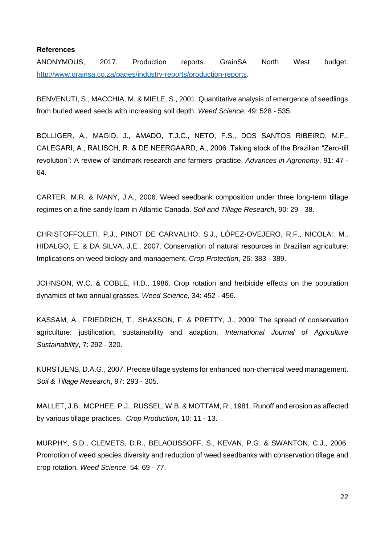#### **References**

ANONYMOUS, 2017. Production reports. GrainSA North West budget. [http://www.grainsa.co.za/pages/industry-reports/production-reports.](http://www.grainsa.co.za/pages/industry-reports/production-reports)

BENVENUTI, S., MACCHIA, M. & MIELE, S., 2001. Quantitative analysis of emergence of seedlings from buried weed seeds with increasing soil depth. *Weed Science*, 49: 528 - 535.

BOLLIGER, A., MAGID, J., AMADO, T.J.C., NETO, F.S., DOS SANTOS RIBEIRO, M.F., CALEGARI, A., RALISCH, R. & DE NEERGAARD, A., 2006. Taking stock of the Brazilian "Zero-till revolution": A review of landmark research and farmers' practice. *Advances in Agronomy*, 91: 47 - 64.

CARTER, M.R. & IVANY, J.A., 2006. Weed seedbank composition under three long-term tillage regimes on a fine sandy loam in Atlantic Canada. *Soil and Tillage Research*, 90: 29 - 38.

CHRISTOFFOLETI, P.J., PINOT DE CARVALHO, S.J., LÓPEZ-OVEJERO, R.F., NICOLAI, M., HIDALGO, E. & DA SILVA, J.E., 2007. Conservation of natural resources in Brazilian agriculture: Implications on weed biology and management. *Crop Protection*, 26: 383 - 389.

JOHNSON, W.C. & COBLE, H.D., 1986. Crop rotation and herbicide effects on the population dynamics of two annual grasses. *Weed Science*, 34: 452 - 456.

KASSAM, A., FRIEDRICH, T., SHAXSON, F. & PRETTY, J., 2009. The spread of conservation agriculture: justification, sustainability and adaption. *International Journal of Agriculture Sustainability*, 7: 292 - 320.

KURSTJENS, D.A.G., 2007. Precise tillage systems for enhanced non-chemical weed management. *Soil & Tillage Research*, 97: 293 - 305.

MALLET, J.B., MCPHEE, P.J., RUSSEL, W.B. & MOTTAM, R., 1981. Runoff and erosion as affected by various tillage practices. *Crop Production*, 10: 11 - 13.

MURPHY, S.D., CLEMETS, D.R., BELAOUSSOFF, S., KEVAN, P.G. & SWANTON, C.J., 2006. Promotion of weed species diversity and reduction of weed seedbanks with conservation tillage and crop rotation. *Weed Science*, 54: 69 - 77.